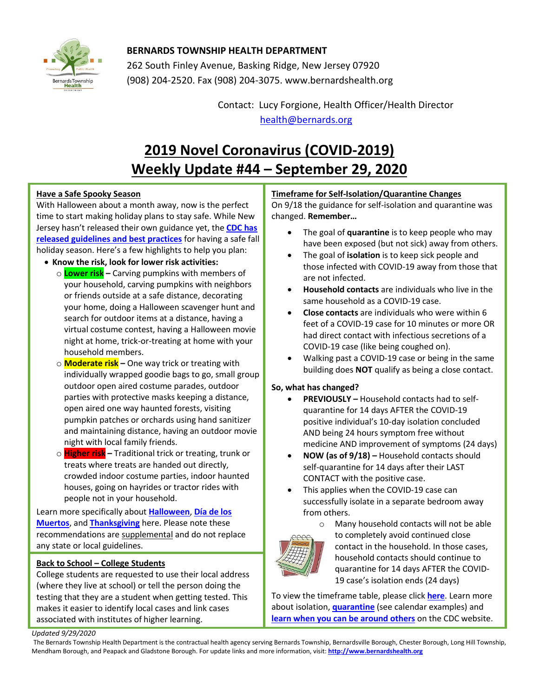

## **BERNARDS TOWNSHIP HEALTH DEPARTMENT**

262 South Finley Avenue, Basking Ridge, New Jersey 07920 (908) 204-2520. Fax (908) 204-3075[. www.bernardshealth.org](http://www.bernardshealth.org/)

> Contact: Lucy Forgione, Health Officer/Health Director [health@bernards.org](mailto:health@bernards.org)

# **2019 Novel Coronavirus (COVID-2019) Weekly Update #44 – September 29, 2020**

## **Have a Safe Spooky Season**

With Halloween about a month away, now is the perfect time to start making holiday plans to stay safe. While New Jersey hasn't released their own guidance yet, the **[CDC has](https://www.cdc.gov/coronavirus/2019-ncov/daily-life-coping/holidays.html)  [released guidelines and best practices](https://www.cdc.gov/coronavirus/2019-ncov/daily-life-coping/holidays.html)** for having a safe fall holiday season. Here's a few highlights to help you plan:

- **Know the risk, look for lower risk activities:**
	- o **Lower risk –** Carving pumpkins with members of your household, carving pumpkins with neighbors or friends outside at a safe distance, decorating your home, doing a Halloween scavenger hunt and search for outdoor items at a distance, having a virtual costume contest, having a Halloween movie night at home, trick-or-treating at home with your household members.
	- o **Moderate risk –** One way trick or treating with individually wrapped goodie bags to go, small group outdoor open aired costume parades, outdoor parties with protective masks keeping a distance, open aired one way haunted forests, visiting pumpkin patches or orchards using hand sanitizer and maintaining distance, having an outdoor movie night with local family friends.
	- o **Higher risk –** Traditional trick or treating, trunk or treats where treats are handed out directly, crowded indoor costume parties, indoor haunted houses, going on hayrides or tractor rides with people not in your household.

Learn more specifically about **[Halloween](https://www.cdc.gov/coronavirus/2019-ncov/daily-life-coping/holidays.html#halloween)**, **Día [de los](https://www.cdc.gov/coronavirus/2019-ncov/daily-life-coping/holidays.html#mexican-day-dead)  [Muertos](https://www.cdc.gov/coronavirus/2019-ncov/daily-life-coping/holidays.html#mexican-day-dead)**, and **[Thanksgiving](https://www.cdc.gov/coronavirus/2019-ncov/daily-life-coping/holidays.html#thanksgiving)** here. Please note these recommendations are supplemental and do not replace any state or local guidelines.

## **Back to School – College Students**

College students are requested to use their local address (where they live at school) or tell the person doing the testing that they are a student when getting tested. This makes it easier to identify local cases and link cases associated with institutes of higher learning.

## **Timeframe for Self-Isolation/Quarantine Changes**

On 9/18 the guidance for self-isolation and quarantine was changed. **Remember…**

- The goal of **quarantine** is to keep people who may have been exposed (but not sick) away from others.
- The goal of **isolation** is to keep sick people and those infected with COVID-19 away from those that are not infected.
- **Household contacts** are individuals who live in the same household as a COVID-19 case.
- **Close contacts** are individuals who were within 6 feet of a COVID-19 case for 10 minutes or more OR had direct contact with infectious secretions of a COVID-19 case (like being coughed on).
- Walking past a COVID-19 case or being in the same building does **NOT** qualify as being a close contact.

## **So, what has changed?**

- **PREVIOUSLY –** Household contacts had to selfquarantine for 14 days AFTER the COVID-19 positive individual's 10-day isolation concluded AND being 24 hours symptom free without medicine AND improvement of symptoms (24 days)
- **NOW (as of 9/18) –** Household contacts should self-quarantine for 14 days after their LAST CONTACT with the positive case.
- This applies when the COVID-19 case can successfully isolate in a separate bedroom away from others.
	- o Many household contacts will not be able to completely avoid continued close contact in the household. In those cases, household contacts should continue to quarantine for 14 days AFTER the COVID-19 case's isolation ends (24 days)

To view the timeframe table, please click **[here](https://www.state.nj.us/health/cd/documents/topics/NCOV/COVID_test-result-iq-timetable.pdf)**. Learn more about isolation, **[quarantine](https://www.cdc.gov/coronavirus/2019-ncov/if-you-are-sick/quarantine.html)** (see calendar examples) and **[learn when you can be around others](https://www.cdc.gov/coronavirus/2019-ncov/if-you-are-sick/end-home-isolation.html)** on the CDC website.

#### *Updated 9/29/2020*

The Bernards Township Health Department is the contractual health agency serving Bernards Township, Bernardsville Borough, Chester Borough, Long Hill Township, Mendham Borough, and Peapack and Gladstone Borough. For update links and more information, visit: **[http://www.bernardshealth.org](http://www.bernardshealth.org/)**